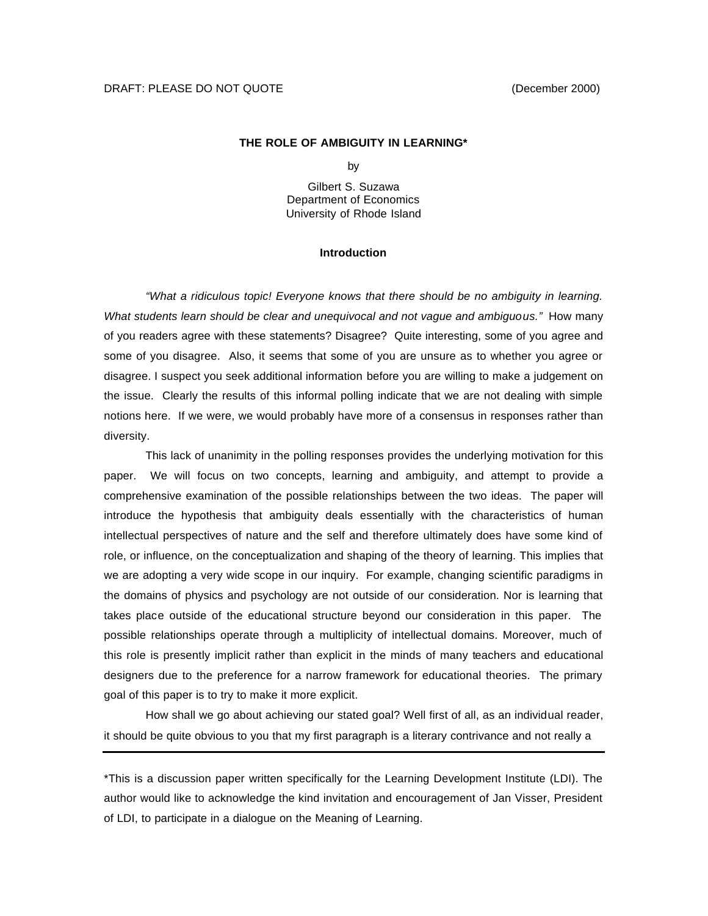### **THE ROLE OF AMBIGUITY IN LEARNING\***

by

Gilbert S. Suzawa Department of Economics University of Rhode Island

#### **Introduction**

*"What a ridiculous topic! Everyone knows that there should be no ambiguity in learning. What students learn should be clear and unequivocal and not vague and ambiguous."* How many of you readers agree with these statements? Disagree? Quite interesting, some of you agree and some of you disagree. Also, it seems that some of you are unsure as to whether you agree or disagree. I suspect you seek additional information before you are willing to make a judgement on the issue. Clearly the results of this informal polling indicate that we are not dealing with simple notions here. If we were, we would probably have more of a consensus in responses rather than diversity.

This lack of unanimity in the polling responses provides the underlying motivation for this paper. We will focus on two concepts, learning and ambiguity, and attempt to provide a comprehensive examination of the possible relationships between the two ideas. The paper will introduce the hypothesis that ambiguity deals essentially with the characteristics of human intellectual perspectives of nature and the self and therefore ultimately does have some kind of role, or influence, on the conceptualization and shaping of the theory of learning. This implies that we are adopting a very wide scope in our inquiry. For example, changing scientific paradigms in the domains of physics and psychology are not outside of our consideration. Nor is learning that takes place outside of the educational structure beyond our consideration in this paper. The possible relationships operate through a multiplicity of intellectual domains. Moreover, much of this role is presently implicit rather than explicit in the minds of many teachers and educational designers due to the preference for a narrow framework for educational theories. The primary goal of this paper is to try to make it more explicit.

How shall we go about achieving our stated goal? Well first of all, as an individual reader, it should be quite obvious to you that my first paragraph is a literary contrivance and not really a

\*This is a discussion paper written specifically for the Learning Development Institute (LDI). The author would like to acknowledge the kind invitation and encouragement of Jan Visser, President of LDI, to participate in a dialogue on the Meaning of Learning.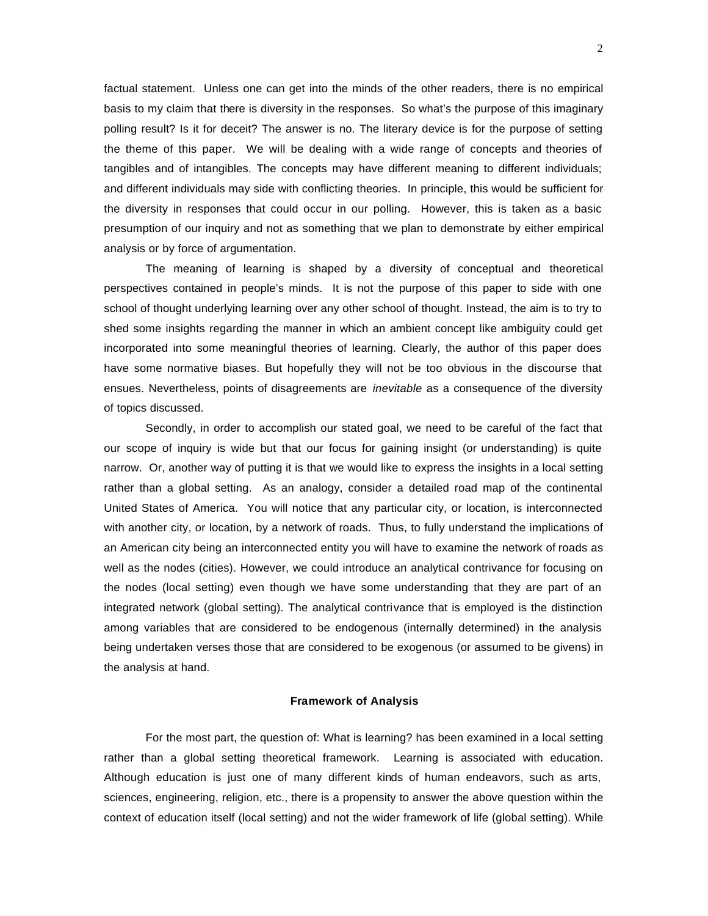factual statement. Unless one can get into the minds of the other readers, there is no empirical basis to my claim that there is diversity in the responses. So what's the purpose of this imaginary polling result? Is it for deceit? The answer is no. The literary device is for the purpose of setting the theme of this paper. We will be dealing with a wide range of concepts and theories of tangibles and of intangibles. The concepts may have different meaning to different individuals; and different individuals may side with conflicting theories. In principle, this would be sufficient for the diversity in responses that could occur in our polling. However, this is taken as a basic presumption of our inquiry and not as something that we plan to demonstrate by either empirical analysis or by force of argumentation.

The meaning of learning is shaped by a diversity of conceptual and theoretical perspectives contained in people's minds. It is not the purpose of this paper to side with one school of thought underlying learning over any other school of thought. Instead, the aim is to try to shed some insights regarding the manner in which an ambient concept like ambiguity could get incorporated into some meaningful theories of learning. Clearly, the author of this paper does have some normative biases. But hopefully they will not be too obvious in the discourse that ensues. Nevertheless, points of disagreements are *inevitable* as a consequence of the diversity of topics discussed.

Secondly, in order to accomplish our stated goal, we need to be careful of the fact that our scope of inquiry is wide but that our focus for gaining insight (or understanding) is quite narrow. Or, another way of putting it is that we would like to express the insights in a local setting rather than a global setting. As an analogy, consider a detailed road map of the continental United States of America. You will notice that any particular city, or location, is interconnected with another city, or location, by a network of roads. Thus, to fully understand the implications of an American city being an interconnected entity you will have to examine the network of roads as well as the nodes (cities). However, we could introduce an analytical contrivance for focusing on the nodes (local setting) even though we have some understanding that they are part of an integrated network (global setting). The analytical contrivance that is employed is the distinction among variables that are considered to be endogenous (internally determined) in the analysis being undertaken verses those that are considered to be exogenous (or assumed to be givens) in the analysis at hand.

#### **Framework of Analysis**

For the most part, the question of: What is learning? has been examined in a local setting rather than a global setting theoretical framework. Learning is associated with education. Although education is just one of many different kinds of human endeavors, such as arts, sciences, engineering, religion, etc., there is a propensity to answer the above question within the context of education itself (local setting) and not the wider framework of life (global setting). While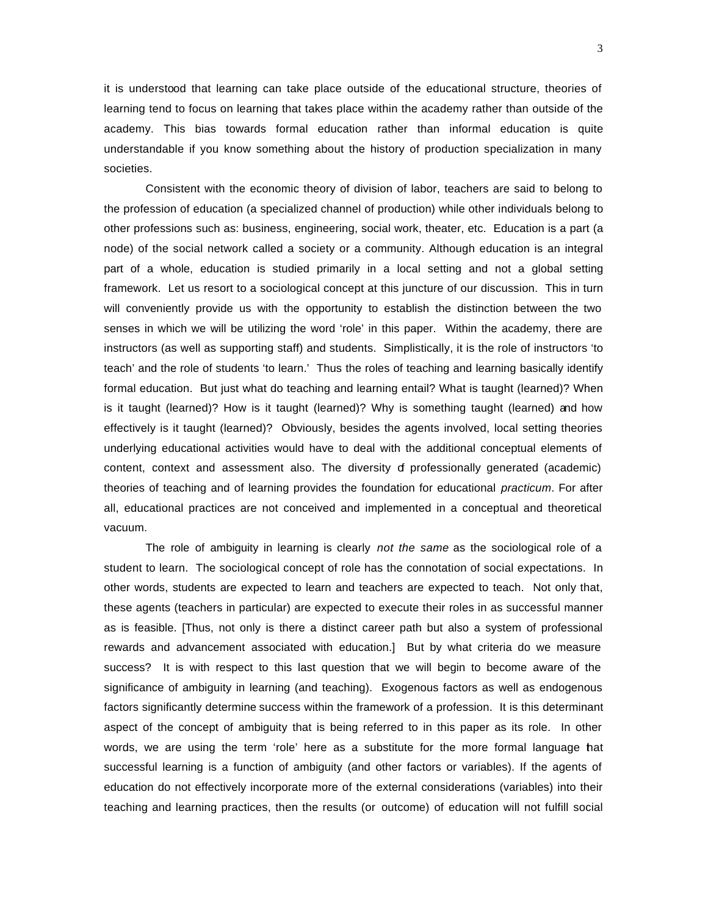it is understood that learning can take place outside of the educational structure, theories of learning tend to focus on learning that takes place within the academy rather than outside of the academy. This bias towards formal education rather than informal education is quite understandable if you know something about the history of production specialization in many societies.

Consistent with the economic theory of division of labor, teachers are said to belong to the profession of education (a specialized channel of production) while other individuals belong to other professions such as: business, engineering, social work, theater, etc. Education is a part (a node) of the social network called a society or a community. Although education is an integral part of a whole, education is studied primarily in a local setting and not a global setting framework. Let us resort to a sociological concept at this juncture of our discussion. This in turn will conveniently provide us with the opportunity to establish the distinction between the two senses in which we will be utilizing the word 'role' in this paper. Within the academy, there are instructors (as well as supporting staff) and students. Simplistically, it is the role of instructors 'to teach' and the role of students 'to learn.' Thus the roles of teaching and learning basically identify formal education. But just what do teaching and learning entail? What is taught (learned)? When is it taught (learned)? How is it taught (learned)? Why is something taught (learned) and how effectively is it taught (learned)? Obviously, besides the agents involved, local setting theories underlying educational activities would have to deal with the additional conceptual elements of content, context and assessment also. The diversity of professionally generated (academic) theories of teaching and of learning provides the foundation for educational *practicum*. For after all, educational practices are not conceived and implemented in a conceptual and theoretical vacuum.

The role of ambiguity in learning is clearly *not the same* as the sociological role of a student to learn. The sociological concept of role has the connotation of social expectations. In other words, students are expected to learn and teachers are expected to teach. Not only that, these agents (teachers in particular) are expected to execute their roles in as successful manner as is feasible. [Thus, not only is there a distinct career path but also a system of professional rewards and advancement associated with education.] But by what criteria do we measure success? It is with respect to this last question that we will begin to become aware of the significance of ambiguity in learning (and teaching). Exogenous factors as well as endogenous factors significantly determine success within the framework of a profession. It is this determinant aspect of the concept of ambiguity that is being referred to in this paper as its role. In other words, we are using the term 'role' here as a substitute for the more formal language that successful learning is a function of ambiguity (and other factors or variables). If the agents of education do not effectively incorporate more of the external considerations (variables) into their teaching and learning practices, then the results (or outcome) of education will not fulfill social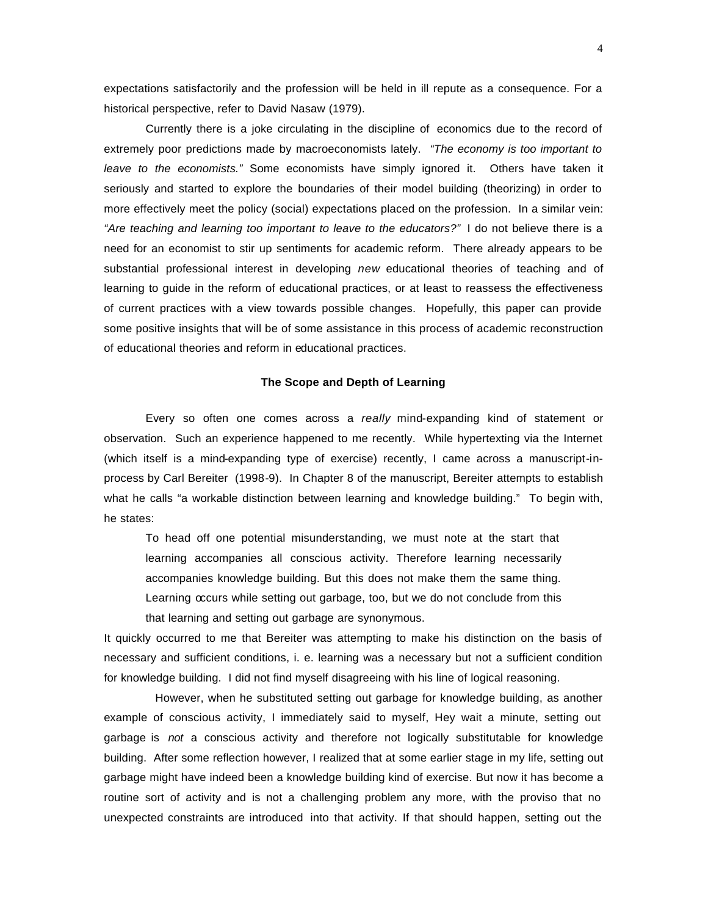expectations satisfactorily and the profession will be held in ill repute as a consequence. For a historical perspective, refer to David Nasaw (1979).

Currently there is a joke circulating in the discipline of economics due to the record of extremely poor predictions made by macroeconomists lately. *"The economy is too important to leave to the economists."* Some economists have simply ignored it. Others have taken it seriously and started to explore the boundaries of their model building (theorizing) in order to more effectively meet the policy (social) expectations placed on the profession. In a similar vein: *"Are teaching and learning too important to leave to the educators?"* I do not believe there is a need for an economist to stir up sentiments for academic reform. There already appears to be substantial professional interest in developing *new* educational theories of teaching and of learning to guide in the reform of educational practices, or at least to reassess the effectiveness of current practices with a view towards possible changes. Hopefully, this paper can provide some positive insights that will be of some assistance in this process of academic reconstruction of educational theories and reform in educational practices.

# **The Scope and Depth of Learning**

Every so often one comes across a *really* mind-expanding kind of statement or observation. Such an experience happened to me recently. While hypertexting via the Internet (which itself is a mind-expanding type of exercise) recently, I came across a manuscript-inprocess by Carl Bereiter (1998-9). In Chapter 8 of the manuscript, Bereiter attempts to establish what he calls "a workable distinction between learning and knowledge building." To begin with, he states:

To head off one potential misunderstanding, we must note at the start that learning accompanies all conscious activity. Therefore learning necessarily accompanies knowledge building. But this does not make them the same thing. Learning occurs while setting out garbage, too, but we do not conclude from this that learning and setting out garbage are synonymous.

It quickly occurred to me that Bereiter was attempting to make his distinction on the basis of necessary and sufficient conditions, i. e. learning was a necessary but not a sufficient condition for knowledge building. I did not find myself disagreeing with his line of logical reasoning.

 However, when he substituted setting out garbage for knowledge building, as another example of conscious activity, I immediately said to myself, Hey wait a minute, setting out garbage is *not* a conscious activity and therefore not logically substitutable for knowledge building. After some reflection however, I realized that at some earlier stage in my life, setting out garbage might have indeed been a knowledge building kind of exercise. But now it has become a routine sort of activity and is not a challenging problem any more, with the proviso that no unexpected constraints are introduced into that activity. If that should happen, setting out the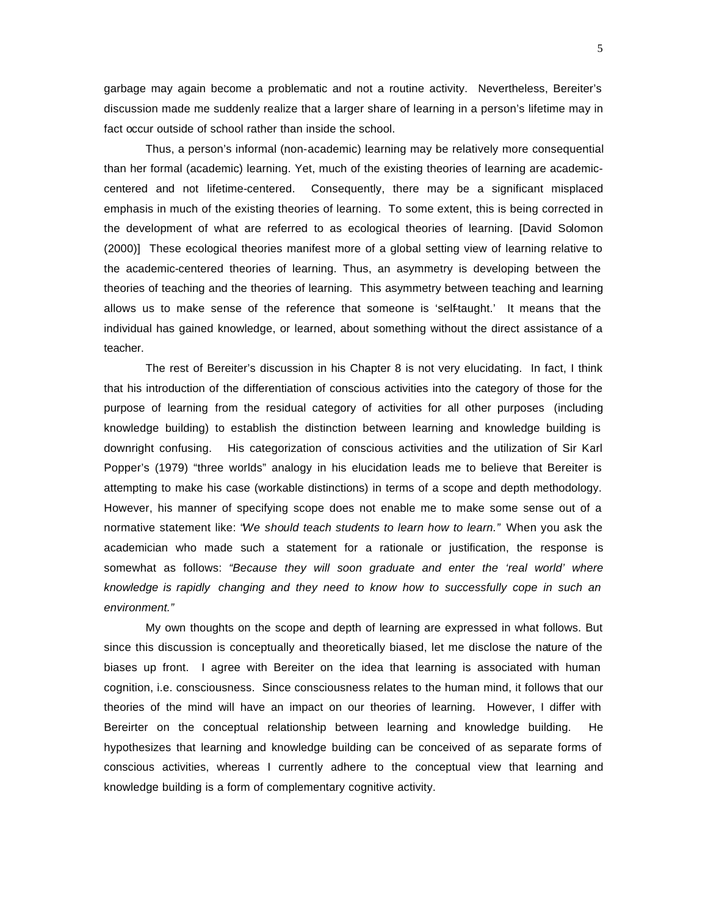garbage may again become a problematic and not a routine activity. Nevertheless, Bereiter's discussion made me suddenly realize that a larger share of learning in a person's lifetime may in fact occur outside of school rather than inside the school.

Thus, a person's informal (non-academic) learning may be relatively more consequential than her formal (academic) learning. Yet, much of the existing theories of learning are academiccentered and not lifetime-centered. Consequently, there may be a significant misplaced emphasis in much of the existing theories of learning. To some extent, this is being corrected in the development of what are referred to as ecological theories of learning. [David Solomon (2000)] These ecological theories manifest more of a global setting view of learning relative to the academic-centered theories of learning. Thus, an asymmetry is developing between the theories of teaching and the theories of learning. This asymmetry between teaching and learning allows us to make sense of the reference that someone is 'self-taught.' It means that the individual has gained knowledge, or learned, about something without the direct assistance of a teacher.

The rest of Bereiter's discussion in his Chapter 8 is not very elucidating. In fact, I think that his introduction of the differentiation of conscious activities into the category of those for the purpose of learning from the residual category of activities for all other purposes (including knowledge building) to establish the distinction between learning and knowledge building is downright confusing. His categorization of conscious activities and the utilization of Sir Karl Popper's (1979) "three worlds" analogy in his elucidation leads me to believe that Bereiter is attempting to make his case (workable distinctions) in terms of a scope and depth methodology. However, his manner of specifying scope does not enable me to make some sense out of a normative statement like: "*We should teach students to learn how to learn."* When you ask the academician who made such a statement for a rationale or justification, the response is somewhat as follows: *"Because they will soon graduate and enter the 'real world' where knowledge is rapidly changing and they need to know how to successfully cope in such an environment."* 

My own thoughts on the scope and depth of learning are expressed in what follows. But since this discussion is conceptually and theoretically biased, let me disclose the nature of the biases up front. I agree with Bereiter on the idea that learning is associated with human cognition, i.e. consciousness. Since consciousness relates to the human mind, it follows that our theories of the mind will have an impact on our theories of learning. However, I differ with Bereirter on the conceptual relationship between learning and knowledge building. He hypothesizes that learning and knowledge building can be conceived of as separate forms of conscious activities, whereas I currently adhere to the conceptual view that learning and knowledge building is a form of complementary cognitive activity.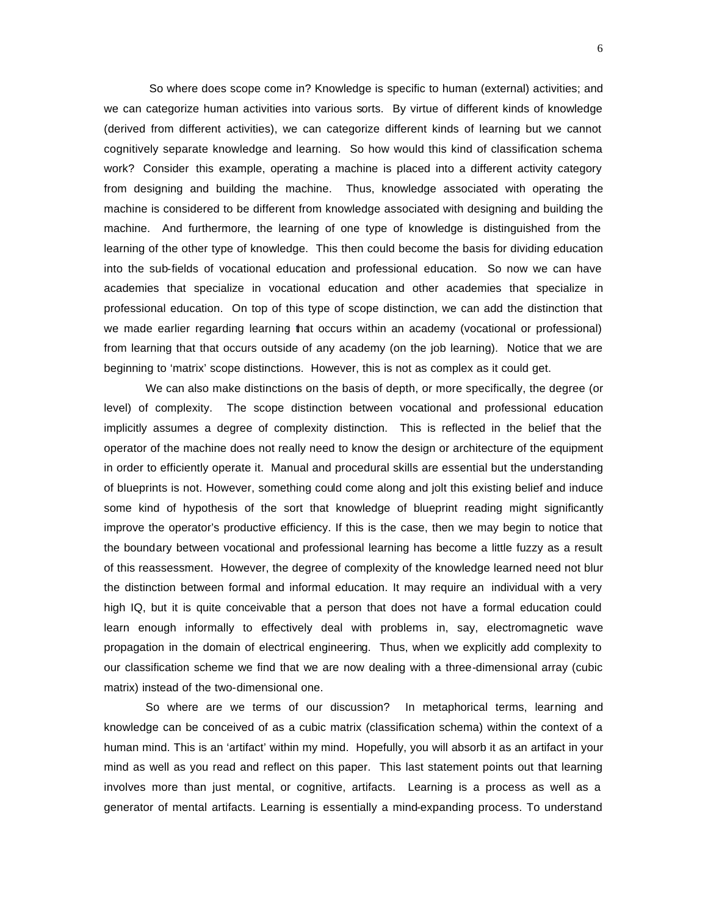So where does scope come in? Knowledge is specific to human (external) activities; and we can categorize human activities into various sorts. By virtue of different kinds of knowledge (derived from different activities), we can categorize different kinds of learning but we cannot cognitively separate knowledge and learning. So how would this kind of classification schema work? Consider this example, operating a machine is placed into a different activity category from designing and building the machine. Thus, knowledge associated with operating the machine is considered to be different from knowledge associated with designing and building the machine. And furthermore, the learning of one type of knowledge is distinguished from the learning of the other type of knowledge. This then could become the basis for dividing education into the sub-fields of vocational education and professional education. So now we can have academies that specialize in vocational education and other academies that specialize in professional education. On top of this type of scope distinction, we can add the distinction that we made earlier regarding learning that occurs within an academy (vocational or professional) from learning that that occurs outside of any academy (on the job learning). Notice that we are beginning to 'matrix' scope distinctions. However, this is not as complex as it could get.

We can also make distinctions on the basis of depth, or more specifically, the degree (or level) of complexity. The scope distinction between vocational and professional education implicitly assumes a degree of complexity distinction. This is reflected in the belief that the operator of the machine does not really need to know the design or architecture of the equipment in order to efficiently operate it. Manual and procedural skills are essential but the understanding of blueprints is not. However, something could come along and jolt this existing belief and induce some kind of hypothesis of the sort that knowledge of blueprint reading might significantly improve the operator's productive efficiency. If this is the case, then we may begin to notice that the boundary between vocational and professional learning has become a little fuzzy as a result of this reassessment. However, the degree of complexity of the knowledge learned need not blur the distinction between formal and informal education. It may require an individual with a very high IQ, but it is quite conceivable that a person that does not have a formal education could learn enough informally to effectively deal with problems in, say, electromagnetic wave propagation in the domain of electrical engineering. Thus, when we explicitly add complexity to our classification scheme we find that we are now dealing with a three-dimensional array (cubic matrix) instead of the two-dimensional one.

So where are we terms of our discussion? In metaphorical terms, learning and knowledge can be conceived of as a cubic matrix (classification schema) within the context of a human mind. This is an 'artifact' within my mind. Hopefully, you will absorb it as an artifact in your mind as well as you read and reflect on this paper. This last statement points out that learning involves more than just mental, or cognitive, artifacts. Learning is a process as well as a generator of mental artifacts. Learning is essentially a mind-expanding process. To understand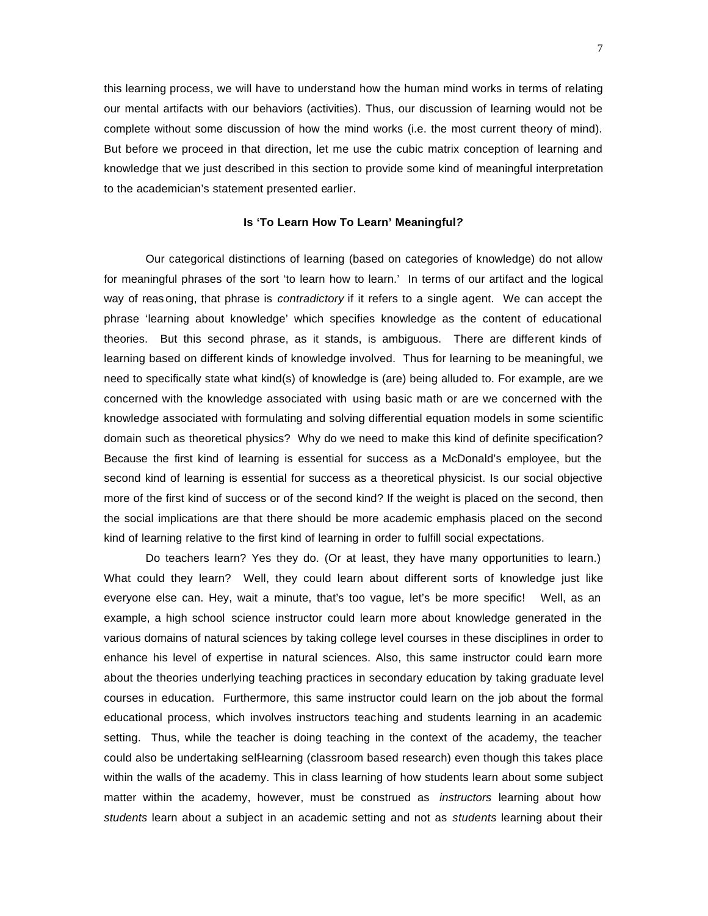this learning process, we will have to understand how the human mind works in terms of relating our mental artifacts with our behaviors (activities). Thus, our discussion of learning would not be complete without some discussion of how the mind works (i.e. the most current theory of mind). But before we proceed in that direction, let me use the cubic matrix conception of learning and knowledge that we just described in this section to provide some kind of meaningful interpretation to the academician's statement presented earlier.

### **Is 'To Learn How To Learn' Meaningful***?*

Our categorical distinctions of learning (based on categories of knowledge) do not allow for meaningful phrases of the sort 'to learn how to learn.' In terms of our artifact and the logical way of reas oning, that phrase is *contradictory* if it refers to a single agent. We can accept the phrase 'learning about knowledge' which specifies knowledge as the content of educational theories. But this second phrase, as it stands, is ambiguous. There are different kinds of learning based on different kinds of knowledge involved. Thus for learning to be meaningful, we need to specifically state what kind(s) of knowledge is (are) being alluded to. For example, are we concerned with the knowledge associated with using basic math or are we concerned with the knowledge associated with formulating and solving differential equation models in some scientific domain such as theoretical physics? Why do we need to make this kind of definite specification? Because the first kind of learning is essential for success as a McDonald's employee, but the second kind of learning is essential for success as a theoretical physicist. Is our social objective more of the first kind of success or of the second kind? If the weight is placed on the second, then the social implications are that there should be more academic emphasis placed on the second kind of learning relative to the first kind of learning in order to fulfill social expectations.

Do teachers learn? Yes they do. (Or at least, they have many opportunities to learn.) What could they learn? Well, they could learn about different sorts of knowledge just like everyone else can. Hey, wait a minute, that's too vague, let's be more specific! Well, as an example, a high school science instructor could learn more about knowledge generated in the various domains of natural sciences by taking college level courses in these disciplines in order to enhance his level of expertise in natural sciences. Also, this same instructor could learn more about the theories underlying teaching practices in secondary education by taking graduate level courses in education. Furthermore, this same instructor could learn on the job about the formal educational process, which involves instructors teaching and students learning in an academic setting. Thus, while the teacher is doing teaching in the context of the academy, the teacher could also be undertaking self-learning (classroom based research) even though this takes place within the walls of the academy. This in class learning of how students learn about some subject matter within the academy, however, must be construed as *instructors* learning about how *students* learn about a subject in an academic setting and not as *students* learning about their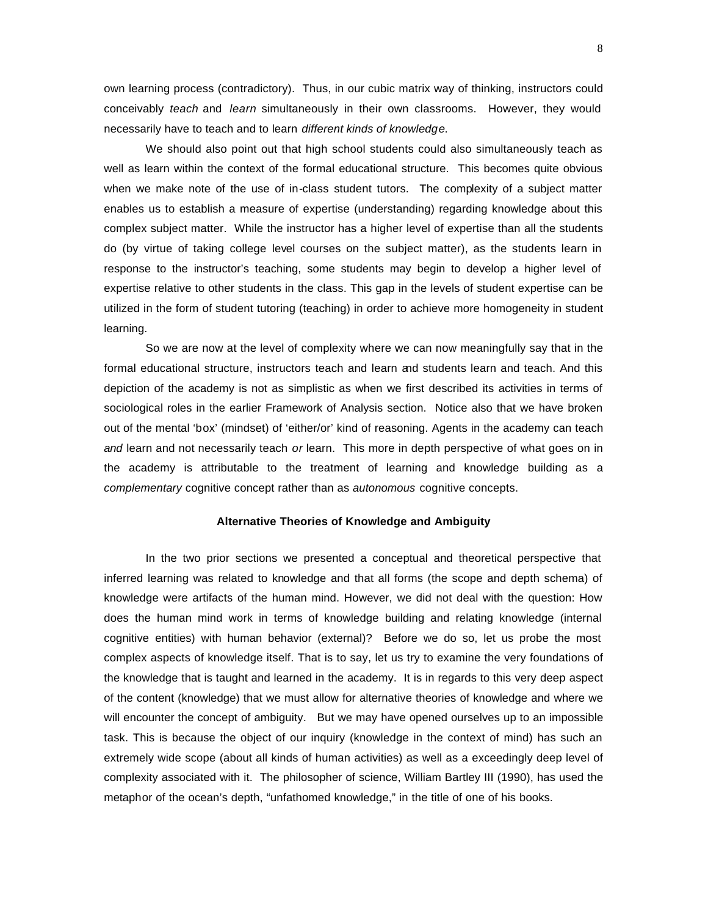own learning process (contradictory). Thus, in our cubic matrix way of thinking, instructors could conceivably *teach* and *learn* simultaneously in their own classrooms. However, they would necessarily have to teach and to learn *different kinds of knowledge*.

We should also point out that high school students could also simultaneously teach as well as learn within the context of the formal educational structure. This becomes quite obvious when we make note of the use of in-class student tutors. The complexity of a subject matter enables us to establish a measure of expertise (understanding) regarding knowledge about this complex subject matter. While the instructor has a higher level of expertise than all the students do (by virtue of taking college level courses on the subject matter), as the students learn in response to the instructor's teaching, some students may begin to develop a higher level of expertise relative to other students in the class. This gap in the levels of student expertise can be utilized in the form of student tutoring (teaching) in order to achieve more homogeneity in student learning.

So we are now at the level of complexity where we can now meaningfully say that in the formal educational structure, instructors teach and learn and students learn and teach. And this depiction of the academy is not as simplistic as when we first described its activities in terms of sociological roles in the earlier Framework of Analysis section. Notice also that we have broken out of the mental 'box' (mindset) of 'either/or' kind of reasoning. Agents in the academy can teach *and* learn and not necessarily teach *or* learn. This more in depth perspective of what goes on in the academy is attributable to the treatment of learning and knowledge building as a *complementary* cognitive concept rather than as *autonomous* cognitive concepts.

#### **Alternative Theories of Knowledge and Ambiguity**

In the two prior sections we presented a conceptual and theoretical perspective that inferred learning was related to knowledge and that all forms (the scope and depth schema) of knowledge were artifacts of the human mind. However, we did not deal with the question: How does the human mind work in terms of knowledge building and relating knowledge (internal cognitive entities) with human behavior (external)? Before we do so, let us probe the most complex aspects of knowledge itself. That is to say, let us try to examine the very foundations of the knowledge that is taught and learned in the academy. It is in regards to this very deep aspect of the content (knowledge) that we must allow for alternative theories of knowledge and where we will encounter the concept of ambiguity. But we may have opened ourselves up to an impossible task. This is because the object of our inquiry (knowledge in the context of mind) has such an extremely wide scope (about all kinds of human activities) as well as a exceedingly deep level of complexity associated with it. The philosopher of science, William Bartley III (1990), has used the metaphor of the ocean's depth, "unfathomed knowledge," in the title of one of his books.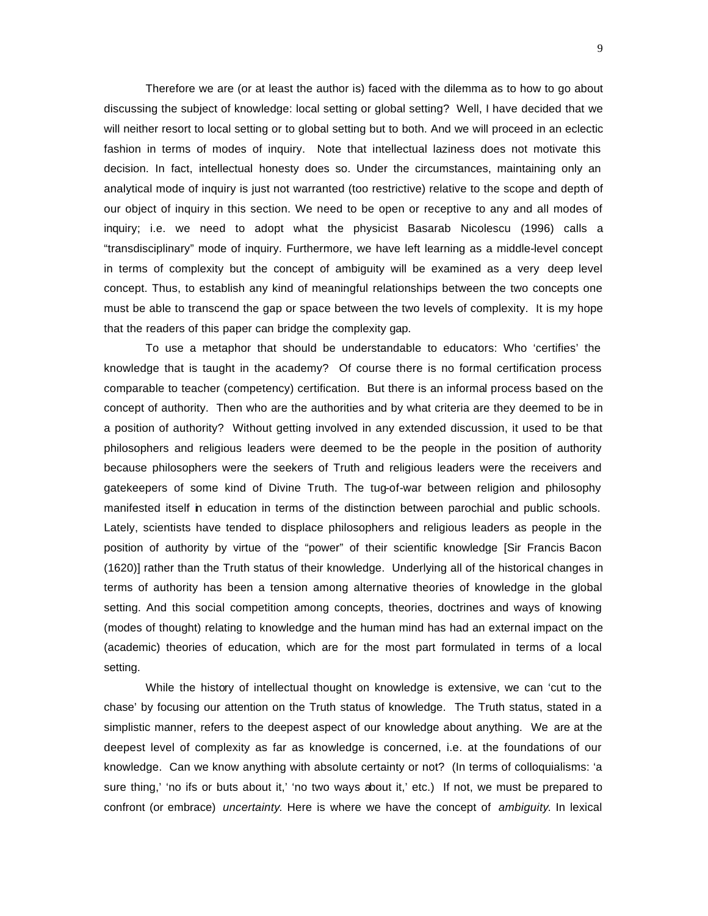Therefore we are (or at least the author is) faced with the dilemma as to how to go about discussing the subject of knowledge: local setting or global setting? Well, I have decided that we will neither resort to local setting or to global setting but to both. And we will proceed in an eclectic fashion in terms of modes of inquiry. Note that intellectual laziness does not motivate this decision. In fact, intellectual honesty does so. Under the circumstances, maintaining only an analytical mode of inquiry is just not warranted (too restrictive) relative to the scope and depth of our object of inquiry in this section. We need to be open or receptive to any and all modes of inquiry; i.e. we need to adopt what the physicist Basarab Nicolescu (1996) calls a "transdisciplinary" mode of inquiry. Furthermore, we have left learning as a middle-level concept in terms of complexity but the concept of ambiguity will be examined as a very deep level concept. Thus, to establish any kind of meaningful relationships between the two concepts one must be able to transcend the gap or space between the two levels of complexity. It is my hope that the readers of this paper can bridge the complexity gap.

To use a metaphor that should be understandable to educators: Who 'certifies' the knowledge that is taught in the academy? Of course there is no formal certification process comparable to teacher (competency) certification. But there is an informal process based on the concept of authority. Then who are the authorities and by what criteria are they deemed to be in a position of authority? Without getting involved in any extended discussion, it used to be that philosophers and religious leaders were deemed to be the people in the position of authority because philosophers were the seekers of Truth and religious leaders were the receivers and gatekeepers of some kind of Divine Truth. The tug-of-war between religion and philosophy manifested itself in education in terms of the distinction between parochial and public schools. Lately, scientists have tended to displace philosophers and religious leaders as people in the position of authority by virtue of the "power" of their scientific knowledge [Sir Francis Bacon (1620)] rather than the Truth status of their knowledge. Underlying all of the historical changes in terms of authority has been a tension among alternative theories of knowledge in the global setting. And this social competition among concepts, theories, doctrines and ways of knowing (modes of thought) relating to knowledge and the human mind has had an external impact on the (academic) theories of education, which are for the most part formulated in terms of a local setting.

While the history of intellectual thought on knowledge is extensive, we can 'cut to the chase' by focusing our attention on the Truth status of knowledge. The Truth status, stated in a simplistic manner, refers to the deepest aspect of our knowledge about anything. We are at the deepest level of complexity as far as knowledge is concerned, i.e. at the foundations of our knowledge. Can we know anything with absolute certainty or not? (In terms of colloquialisms: 'a sure thing,' 'no ifs or buts about it,' 'no two ways about it,' etc.) If not, we must be prepared to confront (or embrace) *uncertainty*. Here is where we have the concept of *ambiguity*. In lexical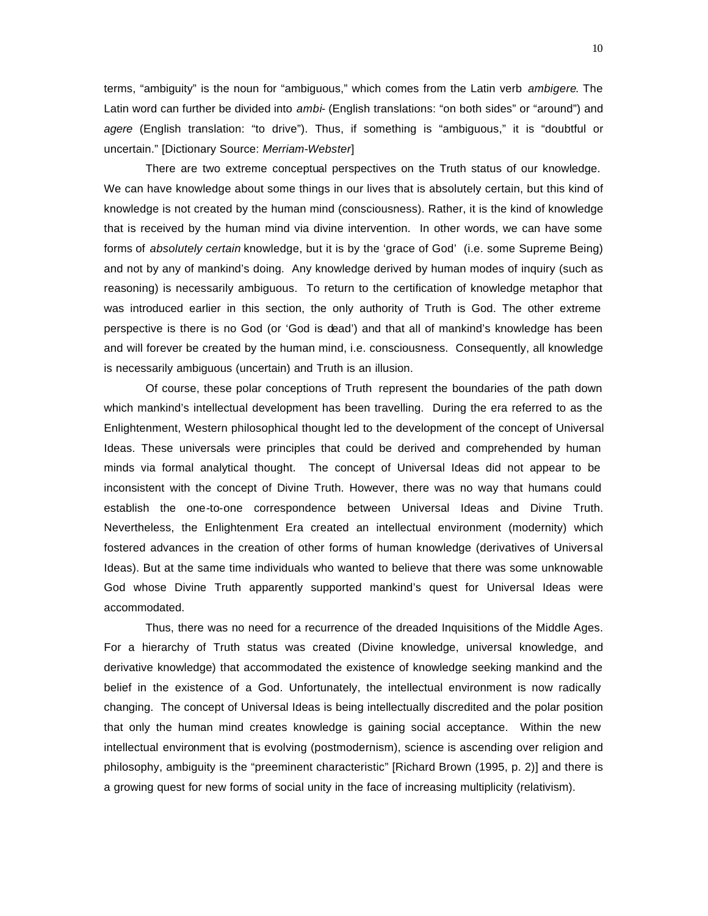terms, "ambiguity" is the noun for "ambiguous," which comes from the Latin verb *ambigere*. The Latin word can further be divided into *ambi-* (English translations: "on both sides" or "around") and *agere* (English translation: "to drive"). Thus, if something is "ambiguous," it is "doubtful or uncertain." [Dictionary Source: *Merriam-Webster*]

There are two extreme conceptual perspectives on the Truth status of our knowledge. We can have knowledge about some things in our lives that is absolutely certain, but this kind of knowledge is not created by the human mind (consciousness). Rather, it is the kind of knowledge that is received by the human mind via divine intervention. In other words, we can have some forms of *absolutely certain* knowledge, but it is by the 'grace of God' (i.e. some Supreme Being) and not by any of mankind's doing. Any knowledge derived by human modes of inquiry (such as reasoning) is necessarily ambiguous. To return to the certification of knowledge metaphor that was introduced earlier in this section, the only authority of Truth is God. The other extreme perspective is there is no God (or 'God is dead') and that all of mankind's knowledge has been and will forever be created by the human mind, i.e. consciousness. Consequently, all knowledge is necessarily ambiguous (uncertain) and Truth is an illusion.

Of course, these polar conceptions of Truth represent the boundaries of the path down which mankind's intellectual development has been travelling. During the era referred to as the Enlightenment, Western philosophical thought led to the development of the concept of Universal Ideas. These universals were principles that could be derived and comprehended by human minds via formal analytical thought. The concept of Universal Ideas did not appear to be inconsistent with the concept of Divine Truth. However, there was no way that humans could establish the one-to-one correspondence between Universal Ideas and Divine Truth. Nevertheless, the Enlightenment Era created an intellectual environment (modernity) which fostered advances in the creation of other forms of human knowledge (derivatives of Universal Ideas). But at the same time individuals who wanted to believe that there was some unknowable God whose Divine Truth apparently supported mankind's quest for Universal Ideas were accommodated.

Thus, there was no need for a recurrence of the dreaded Inquisitions of the Middle Ages. For a hierarchy of Truth status was created (Divine knowledge, universal knowledge, and derivative knowledge) that accommodated the existence of knowledge seeking mankind and the belief in the existence of a God. Unfortunately, the intellectual environment is now radically changing. The concept of Universal Ideas is being intellectually discredited and the polar position that only the human mind creates knowledge is gaining social acceptance. Within the new intellectual environment that is evolving (postmodernism), science is ascending over religion and philosophy, ambiguity is the "preeminent characteristic" [Richard Brown (1995, p. 2)] and there is a growing quest for new forms of social unity in the face of increasing multiplicity (relativism).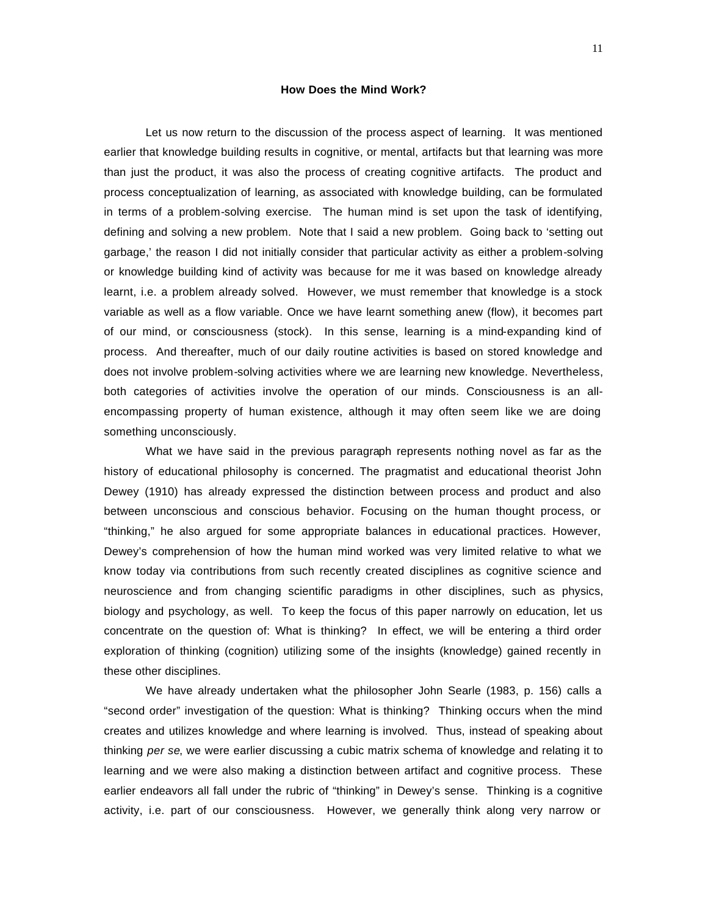# **How Does the Mind Work?**

Let us now return to the discussion of the process aspect of learning. It was mentioned earlier that knowledge building results in cognitive, or mental, artifacts but that learning was more than just the product, it was also the process of creating cognitive artifacts. The product and process conceptualization of learning, as associated with knowledge building, can be formulated in terms of a problem-solving exercise. The human mind is set upon the task of identifying, defining and solving a new problem. Note that I said a new problem. Going back to 'setting out garbage,' the reason I did not initially consider that particular activity as either a problem-solving or knowledge building kind of activity was because for me it was based on knowledge already learnt, i.e. a problem already solved. However, we must remember that knowledge is a stock variable as well as a flow variable. Once we have learnt something anew (flow), it becomes part of our mind, or consciousness (stock). In this sense, learning is a mind-expanding kind of process. And thereafter, much of our daily routine activities is based on stored knowledge and does not involve problem-solving activities where we are learning new knowledge. Nevertheless, both categories of activities involve the operation of our minds. Consciousness is an allencompassing property of human existence, although it may often seem like we are doing something unconsciously.

What we have said in the previous paragraph represents nothing novel as far as the history of educational philosophy is concerned. The pragmatist and educational theorist John Dewey (1910) has already expressed the distinction between process and product and also between unconscious and conscious behavior. Focusing on the human thought process, or "thinking," he also argued for some appropriate balances in educational practices. However, Dewey's comprehension of how the human mind worked was very limited relative to what we know today via contributions from such recently created disciplines as cognitive science and neuroscience and from changing scientific paradigms in other disciplines, such as physics, biology and psychology, as well. To keep the focus of this paper narrowly on education, let us concentrate on the question of: What is thinking? In effect, we will be entering a third order exploration of thinking (cognition) utilizing some of the insights (knowledge) gained recently in these other disciplines.

We have already undertaken what the philosopher John Searle (1983, p. 156) calls a "second order" investigation of the question: What is thinking? Thinking occurs when the mind creates and utilizes knowledge and where learning is involved. Thus, instead of speaking about thinking *per se*, we were earlier discussing a cubic matrix schema of knowledge and relating it to learning and we were also making a distinction between artifact and cognitive process. These earlier endeavors all fall under the rubric of "thinking" in Dewey's sense. Thinking is a cognitive activity, i.e. part of our consciousness. However, we generally think along very narrow or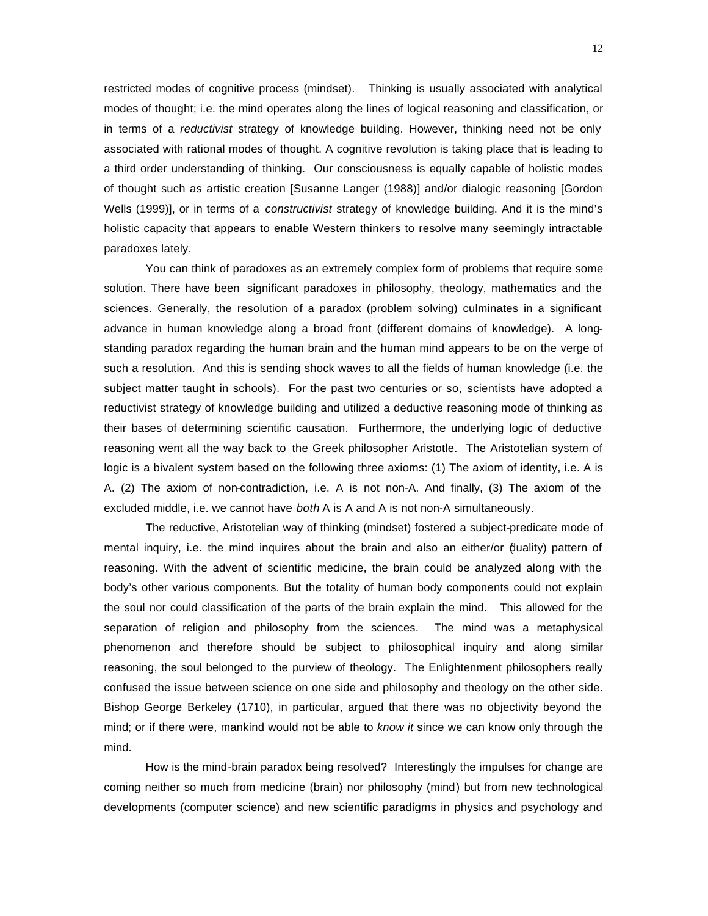restricted modes of cognitive process (mindset). Thinking is usually associated with analytical modes of thought; i.e. the mind operates along the lines of logical reasoning and classification, or in terms of a *reductivist* strategy of knowledge building. However, thinking need not be only associated with rational modes of thought. A cognitive revolution is taking place that is leading to a third order understanding of thinking. Our consciousness is equally capable of holistic modes of thought such as artistic creation [Susanne Langer (1988)] and/or dialogic reasoning [Gordon Wells (1999)], or in terms of a *constructivist* strategy of knowledge building. And it is the mind's holistic capacity that appears to enable Western thinkers to resolve many seemingly intractable paradoxes lately.

You can think of paradoxes as an extremely complex form of problems that require some solution. There have been significant paradoxes in philosophy, theology, mathematics and the sciences. Generally, the resolution of a paradox (problem solving) culminates in a significant advance in human knowledge along a broad front (different domains of knowledge). A longstanding paradox regarding the human brain and the human mind appears to be on the verge of such a resolution. And this is sending shock waves to all the fields of human knowledge (i.e. the subject matter taught in schools). For the past two centuries or so, scientists have adopted a reductivist strategy of knowledge building and utilized a deductive reasoning mode of thinking as their bases of determining scientific causation. Furthermore, the underlying logic of deductive reasoning went all the way back to the Greek philosopher Aristotle. The Aristotelian system of logic is a bivalent system based on the following three axioms: (1) The axiom of identity, i.e. A is A. (2) The axiom of non-contradiction, i.e. A is not non-A. And finally, (3) The axiom of the excluded middle, i.e. we cannot have *both* A is A and A is not non-A simultaneously.

The reductive, Aristotelian way of thinking (mindset) fostered a subject-predicate mode of mental inquiry, i.e. the mind inquires about the brain and also an either/or (duality) pattern of reasoning. With the advent of scientific medicine, the brain could be analyzed along with the body's other various components. But the totality of human body components could not explain the soul nor could classification of the parts of the brain explain the mind. This allowed for the separation of religion and philosophy from the sciences. The mind was a metaphysical phenomenon and therefore should be subject to philosophical inquiry and along similar reasoning, the soul belonged to the purview of theology. The Enlightenment philosophers really confused the issue between science on one side and philosophy and theology on the other side. Bishop George Berkeley (1710), in particular, argued that there was no objectivity beyond the mind; or if there were, mankind would not be able to *know it* since we can know only through the mind.

How is the mind-brain paradox being resolved? Interestingly the impulses for change are coming neither so much from medicine (brain) nor philosophy (mind) but from new technological developments (computer science) and new scientific paradigms in physics and psychology and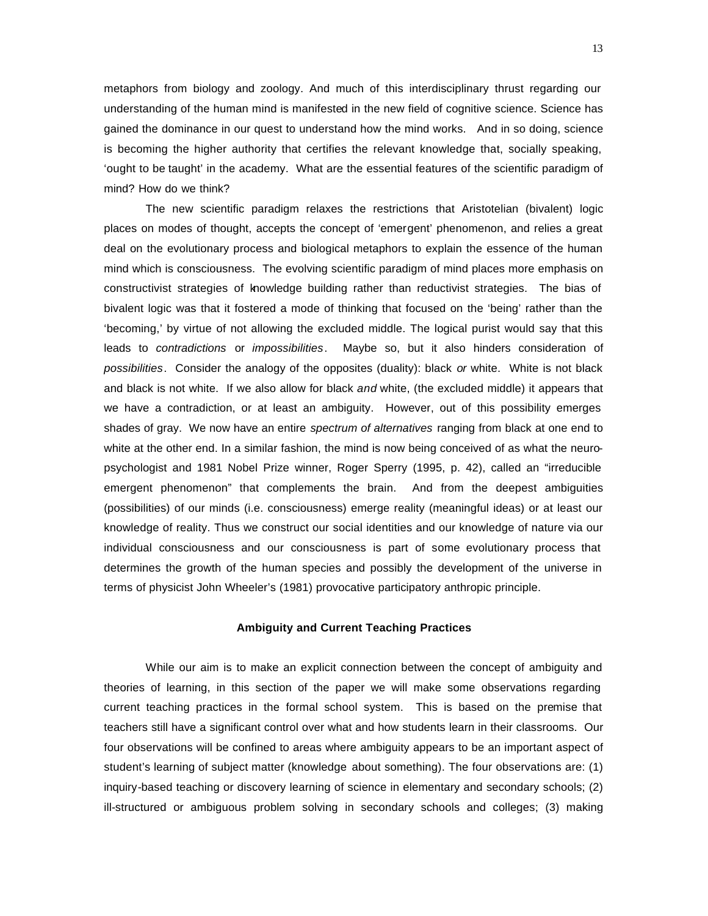metaphors from biology and zoology. And much of this interdisciplinary thrust regarding our understanding of the human mind is manifested in the new field of cognitive science. Science has gained the dominance in our quest to understand how the mind works. And in so doing, science is becoming the higher authority that certifies the relevant knowledge that, socially speaking, 'ought to be taught' in the academy. What are the essential features of the scientific paradigm of mind? How do we think?

The new scientific paradigm relaxes the restrictions that Aristotelian (bivalent) logic places on modes of thought, accepts the concept of 'emergent' phenomenon, and relies a great deal on the evolutionary process and biological metaphors to explain the essence of the human mind which is consciousness. The evolving scientific paradigm of mind places more emphasis on constructivist strategies of knowledge building rather than reductivist strategies. The bias of bivalent logic was that it fostered a mode of thinking that focused on the 'being' rather than the 'becoming,' by virtue of not allowing the excluded middle. The logical purist would say that this leads to *contradictions* or *impossibilities*. Maybe so, but it also hinders consideration of *possibilities*. Consider the analogy of the opposites (duality): black *or* white. White is not black and black is not white. If we also allow for black *and* white, (the excluded middle) it appears that we have a contradiction, or at least an ambiguity. However, out of this possibility emerges shades of gray. We now have an entire *spectrum of alternatives* ranging from black at one end to white at the other end. In a similar fashion, the mind is now being conceived of as what the neuropsychologist and 1981 Nobel Prize winner, Roger Sperry (1995, p. 42), called an "irreducible emergent phenomenon" that complements the brain. And from the deepest ambiguities (possibilities) of our minds (i.e. consciousness) emerge reality (meaningful ideas) or at least our knowledge of reality. Thus we construct our social identities and our knowledge of nature via our individual consciousness and our consciousness is part of some evolutionary process that determines the growth of the human species and possibly the development of the universe in terms of physicist John Wheeler's (1981) provocative participatory anthropic principle.

### **Ambiguity and Current Teaching Practices**

While our aim is to make an explicit connection between the concept of ambiguity and theories of learning, in this section of the paper we will make some observations regarding current teaching practices in the formal school system. This is based on the premise that teachers still have a significant control over what and how students learn in their classrooms. Our four observations will be confined to areas where ambiguity appears to be an important aspect of student's learning of subject matter (knowledge about something). The four observations are: (1) inquiry-based teaching or discovery learning of science in elementary and secondary schools; (2) ill-structured or ambiguous problem solving in secondary schools and colleges; (3) making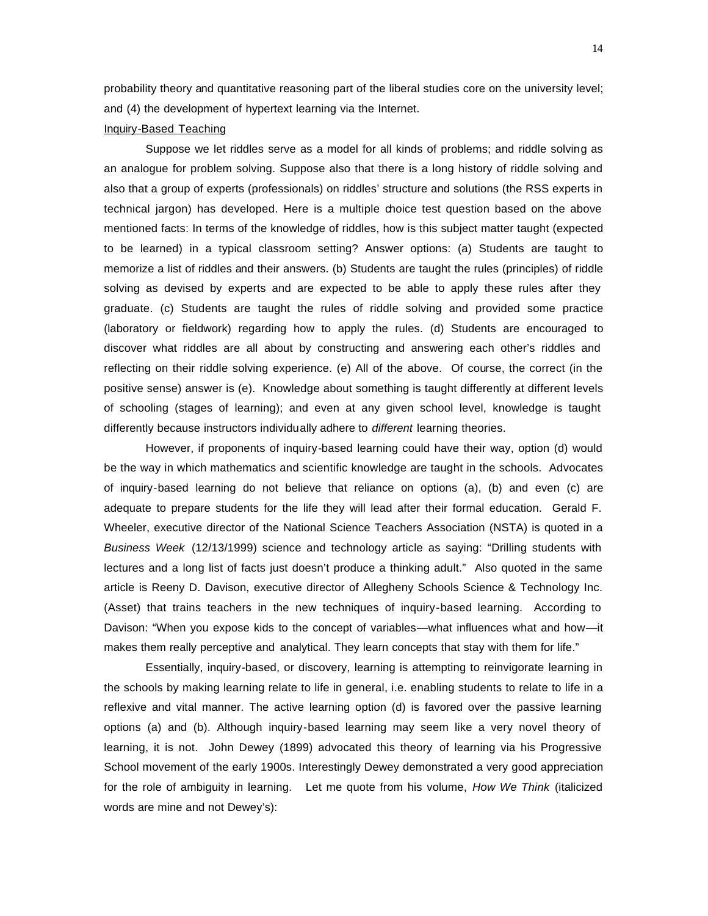probability theory and quantitative reasoning part of the liberal studies core on the university level; and (4) the development of hypertext learning via the Internet.

# Inquiry-Based Teaching

Suppose we let riddles serve as a model for all kinds of problems; and riddle solving as an analogue for problem solving. Suppose also that there is a long history of riddle solving and also that a group of experts (professionals) on riddles' structure and solutions (the RSS experts in technical jargon) has developed. Here is a multiple choice test question based on the above mentioned facts: In terms of the knowledge of riddles, how is this subject matter taught (expected to be learned) in a typical classroom setting? Answer options: (a) Students are taught to memorize a list of riddles and their answers. (b) Students are taught the rules (principles) of riddle solving as devised by experts and are expected to be able to apply these rules after they graduate. (c) Students are taught the rules of riddle solving and provided some practice (laboratory or fieldwork) regarding how to apply the rules. (d) Students are encouraged to discover what riddles are all about by constructing and answering each other's riddles and reflecting on their riddle solving experience. (e) All of the above. Of course, the correct (in the positive sense) answer is (e). Knowledge about something is taught differently at different levels of schooling (stages of learning); and even at any given school level, knowledge is taught differently because instructors individually adhere to *different* learning theories.

However, if proponents of inquiry-based learning could have their way, option (d) would be the way in which mathematics and scientific knowledge are taught in the schools. Advocates of inquiry-based learning do not believe that reliance on options (a), (b) and even (c) are adequate to prepare students for the life they will lead after their formal education. Gerald F. Wheeler, executive director of the National Science Teachers Association (NSTA) is quoted in a *Business Week* (12/13/1999) science and technology article as saying: "Drilling students with lectures and a long list of facts just doesn't produce a thinking adult." Also quoted in the same article is Reeny D. Davison, executive director of Allegheny Schools Science & Technology Inc. (Asset) that trains teachers in the new techniques of inquiry-based learning. According to Davison: "When you expose kids to the concept of variables—what influences what and how—it makes them really perceptive and analytical. They learn concepts that stay with them for life."

Essentially, inquiry-based, or discovery, learning is attempting to reinvigorate learning in the schools by making learning relate to life in general, i.e. enabling students to relate to life in a reflexive and vital manner. The active learning option (d) is favored over the passive learning options (a) and (b). Although inquiry-based learning may seem like a very novel theory of learning, it is not. John Dewey (1899) advocated this theory of learning via his Progressive School movement of the early 1900s. Interestingly Dewey demonstrated a very good appreciation for the role of ambiguity in learning. Let me quote from his volume, *How We Think* (italicized words are mine and not Dewey's):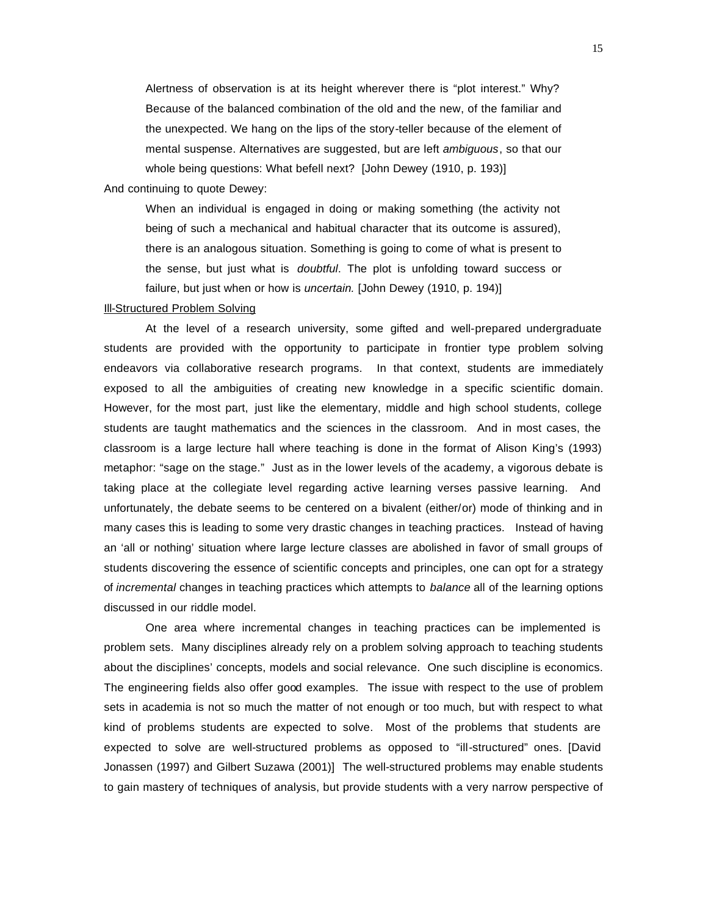Alertness of observation is at its height wherever there is "plot interest." Why? Because of the balanced combination of the old and the new, of the familiar and the unexpected. We hang on the lips of the story-teller because of the element of mental suspense. Alternatives are suggested, but are left *ambiguous*, so that our whole being questions: What befell next? [John Dewey (1910, p. 193)]

And continuing to quote Dewey:

When an individual is engaged in doing or making something (the activity not being of such a mechanical and habitual character that its outcome is assured), there is an analogous situation. Something is going to come of what is present to the sense, but just what is *doubtful*. The plot is unfolding toward success or failure, but just when or how is *uncertain*. [John Dewey (1910, p. 194)]

#### Ill-Structured Problem Solving

At the level of a research university, some gifted and well-prepared undergraduate students are provided with the opportunity to participate in frontier type problem solving endeavors via collaborative research programs. In that context, students are immediately exposed to all the ambiguities of creating new knowledge in a specific scientific domain. However, for the most part, just like the elementary, middle and high school students, college students are taught mathematics and the sciences in the classroom. And in most cases, the classroom is a large lecture hall where teaching is done in the format of Alison King's (1993) metaphor: "sage on the stage." Just as in the lower levels of the academy, a vigorous debate is taking place at the collegiate level regarding active learning verses passive learning. And unfortunately, the debate seems to be centered on a bivalent (either/or) mode of thinking and in many cases this is leading to some very drastic changes in teaching practices. Instead of having an 'all or nothing' situation where large lecture classes are abolished in favor of small groups of students discovering the essence of scientific concepts and principles, one can opt for a strategy of *incremental* changes in teaching practices which attempts to *balance* all of the learning options discussed in our riddle model.

One area where incremental changes in teaching practices can be implemented is problem sets. Many disciplines already rely on a problem solving approach to teaching students about the disciplines' concepts, models and social relevance. One such discipline is economics. The engineering fields also offer good examples. The issue with respect to the use of problem sets in academia is not so much the matter of not enough or too much, but with respect to what kind of problems students are expected to solve. Most of the problems that students are expected to solve are well-structured problems as opposed to "ill-structured" ones. [David Jonassen (1997) and Gilbert Suzawa (2001)] The well-structured problems may enable students to gain mastery of techniques of analysis, but provide students with a very narrow perspective of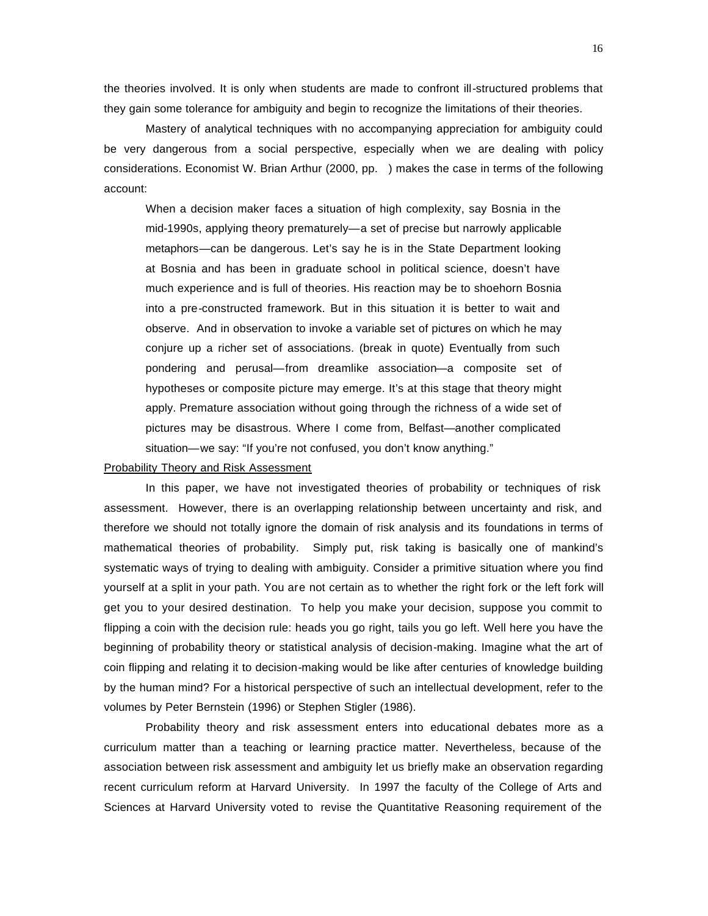the theories involved. It is only when students are made to confront ill-structured problems that they gain some tolerance for ambiguity and begin to recognize the limitations of their theories.

Mastery of analytical techniques with no accompanying appreciation for ambiguity could be very dangerous from a social perspective, especially when we are dealing with policy considerations. Economist W. Brian Arthur (2000, pp. ) makes the case in terms of the following account:

When a decision maker faces a situation of high complexity, say Bosnia in the mid-1990s, applying theory prematurely—a set of precise but narrowly applicable metaphors—can be dangerous. Let's say he is in the State Department looking at Bosnia and has been in graduate school in political science, doesn't have much experience and is full of theories. His reaction may be to shoehorn Bosnia into a pre-constructed framework. But in this situation it is better to wait and observe. And in observation to invoke a variable set of pictures on which he may conjure up a richer set of associations. (break in quote) Eventually from such pondering and perusal—from dreamlike association—a composite set of hypotheses or composite picture may emerge. It's at this stage that theory might apply. Premature association without going through the richness of a wide set of pictures may be disastrous. Where I come from, Belfast—another complicated situation—we say: "If you're not confused, you don't know anything."

#### Probability Theory and Risk Assessment

In this paper, we have not investigated theories of probability or techniques of risk assessment. However, there is an overlapping relationship between uncertainty and risk, and therefore we should not totally ignore the domain of risk analysis and its foundations in terms of mathematical theories of probability. Simply put, risk taking is basically one of mankind's systematic ways of trying to dealing with ambiguity. Consider a primitive situation where you find yourself at a split in your path. You are not certain as to whether the right fork or the left fork will get you to your desired destination. To help you make your decision, suppose you commit to flipping a coin with the decision rule: heads you go right, tails you go left. Well here you have the beginning of probability theory or statistical analysis of decision-making. Imagine what the art of coin flipping and relating it to decision-making would be like after centuries of knowledge building by the human mind? For a historical perspective of such an intellectual development, refer to the volumes by Peter Bernstein (1996) or Stephen Stigler (1986).

Probability theory and risk assessment enters into educational debates more as a curriculum matter than a teaching or learning practice matter. Nevertheless, because of the association between risk assessment and ambiguity let us briefly make an observation regarding recent curriculum reform at Harvard University. In 1997 the faculty of the College of Arts and Sciences at Harvard University voted to revise the Quantitative Reasoning requirement of the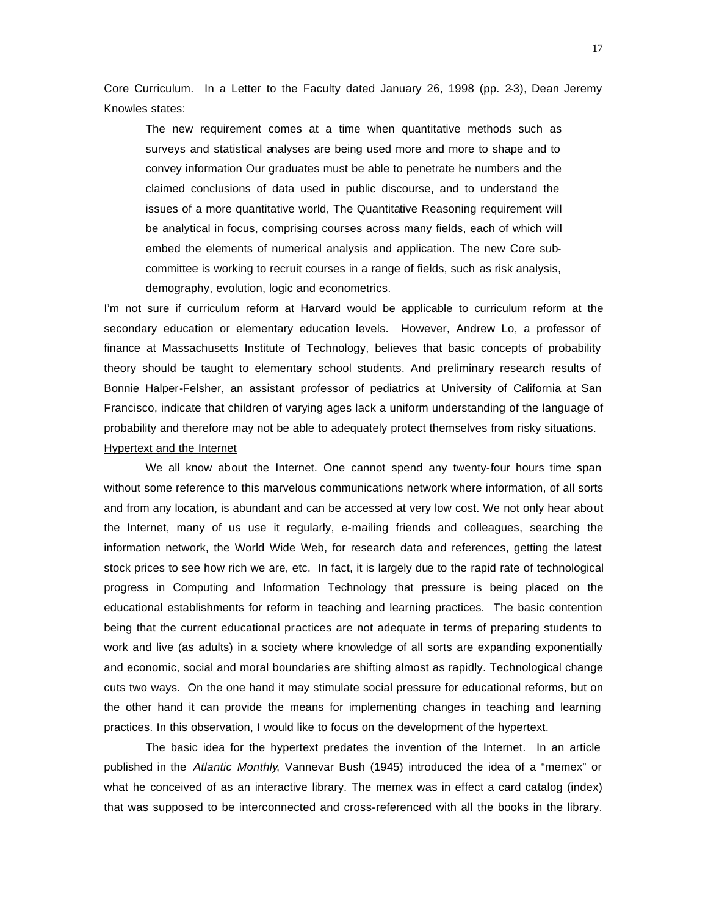Core Curriculum. In a Letter to the Faculty dated January 26, 1998 (pp. 2-3), Dean Jeremy Knowles states:

The new requirement comes at a time when quantitative methods such as surveys and statistical analyses are being used more and more to shape and to convey information Our graduates must be able to penetrate he numbers and the claimed conclusions of data used in public discourse, and to understand the issues of a more quantitative world, The Quantitative Reasoning requirement will be analytical in focus, comprising courses across many fields, each of which will embed the elements of numerical analysis and application. The new Core subcommittee is working to recruit courses in a range of fields, such as risk analysis, demography, evolution, logic and econometrics.

I'm not sure if curriculum reform at Harvard would be applicable to curriculum reform at the secondary education or elementary education levels. However, Andrew Lo, a professor of finance at Massachusetts Institute of Technology, believes that basic concepts of probability theory should be taught to elementary school students. And preliminary research results of Bonnie Halper-Felsher, an assistant professor of pediatrics at University of California at San Francisco, indicate that children of varying ages lack a uniform understanding of the language of probability and therefore may not be able to adequately protect themselves from risky situations. Hypertext and the Internet

We all know about the Internet. One cannot spend any twenty-four hours time span without some reference to this marvelous communications network where information, of all sorts and from any location, is abundant and can be accessed at very low cost. We not only hear about the Internet, many of us use it regularly, e-mailing friends and colleagues, searching the information network, the World Wide Web, for research data and references, getting the latest stock prices to see how rich we are, etc. In fact, it is largely due to the rapid rate of technological progress in Computing and Information Technology that pressure is being placed on the educational establishments for reform in teaching and learning practices. The basic contention being that the current educational practices are not adequate in terms of preparing students to work and live (as adults) in a society where knowledge of all sorts are expanding exponentially and economic, social and moral boundaries are shifting almost as rapidly. Technological change cuts two ways. On the one hand it may stimulate social pressure for educational reforms, but on the other hand it can provide the means for implementing changes in teaching and learning practices. In this observation, I would like to focus on the development of the hypertext.

The basic idea for the hypertext predates the invention of the Internet. In an article published in the *Atlantic Monthly*, Vannevar Bush (1945) introduced the idea of a "memex" or what he conceived of as an interactive library. The memex was in effect a card catalog (index) that was supposed to be interconnected and cross-referenced with all the books in the library.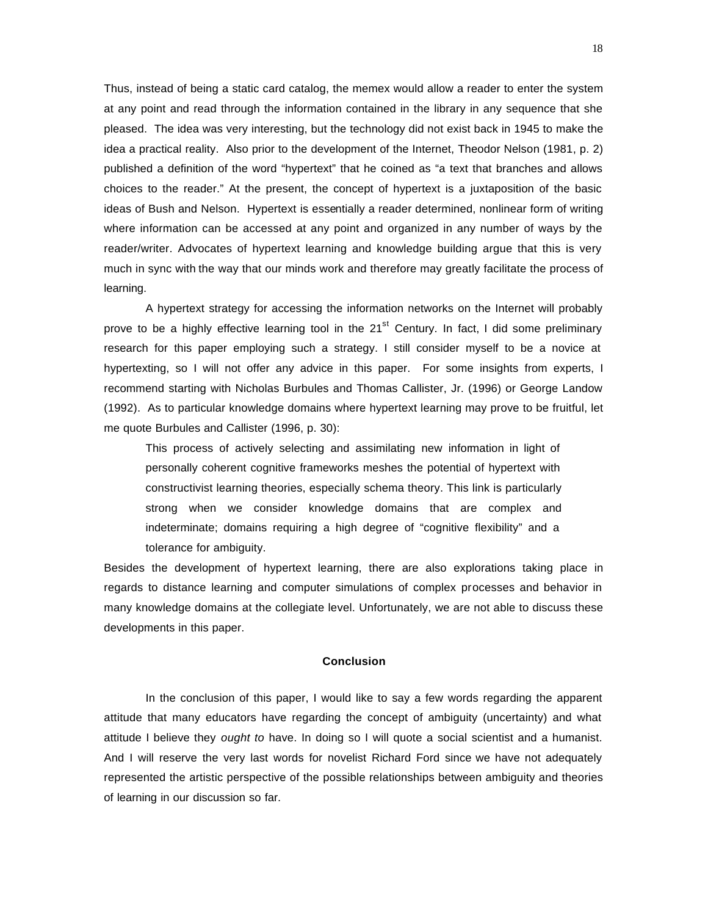Thus, instead of being a static card catalog, the memex would allow a reader to enter the system at any point and read through the information contained in the library in any sequence that she pleased. The idea was very interesting, but the technology did not exist back in 1945 to make the idea a practical reality. Also prior to the development of the Internet, Theodor Nelson (1981, p. 2) published a definition of the word "hypertext" that he coined as "a text that branches and allows choices to the reader." At the present, the concept of hypertext is a juxtaposition of the basic ideas of Bush and Nelson. Hypertext is essentially a reader determined, nonlinear form of writing where information can be accessed at any point and organized in any number of ways by the reader/writer. Advocates of hypertext learning and knowledge building argue that this is very much in sync with the way that our minds work and therefore may greatly facilitate the process of learning.

A hypertext strategy for accessing the information networks on the Internet will probably prove to be a highly effective learning tool in the  $21<sup>st</sup>$  Century. In fact, I did some preliminary research for this paper employing such a strategy. I still consider myself to be a novice at hypertexting, so I will not offer any advice in this paper. For some insights from experts, I recommend starting with Nicholas Burbules and Thomas Callister, Jr. (1996) or George Landow (1992). As to particular knowledge domains where hypertext learning may prove to be fruitful, let me quote Burbules and Callister (1996, p. 30):

This process of actively selecting and assimilating new information in light of personally coherent cognitive frameworks meshes the potential of hypertext with constructivist learning theories, especially schema theory. This link is particularly strong when we consider knowledge domains that are complex and indeterminate; domains requiring a high degree of "cognitive flexibility" and a tolerance for ambiguity.

Besides the development of hypertext learning, there are also explorations taking place in regards to distance learning and computer simulations of complex processes and behavior in many knowledge domains at the collegiate level. Unfortunately, we are not able to discuss these developments in this paper.

# **Conclusion**

In the conclusion of this paper, I would like to say a few words regarding the apparent attitude that many educators have regarding the concept of ambiguity (uncertainty) and what attitude I believe they *ought to* have. In doing so I will quote a social scientist and a humanist. And I will reserve the very last words for novelist Richard Ford since we have not adequately represented the artistic perspective of the possible relationships between ambiguity and theories of learning in our discussion so far.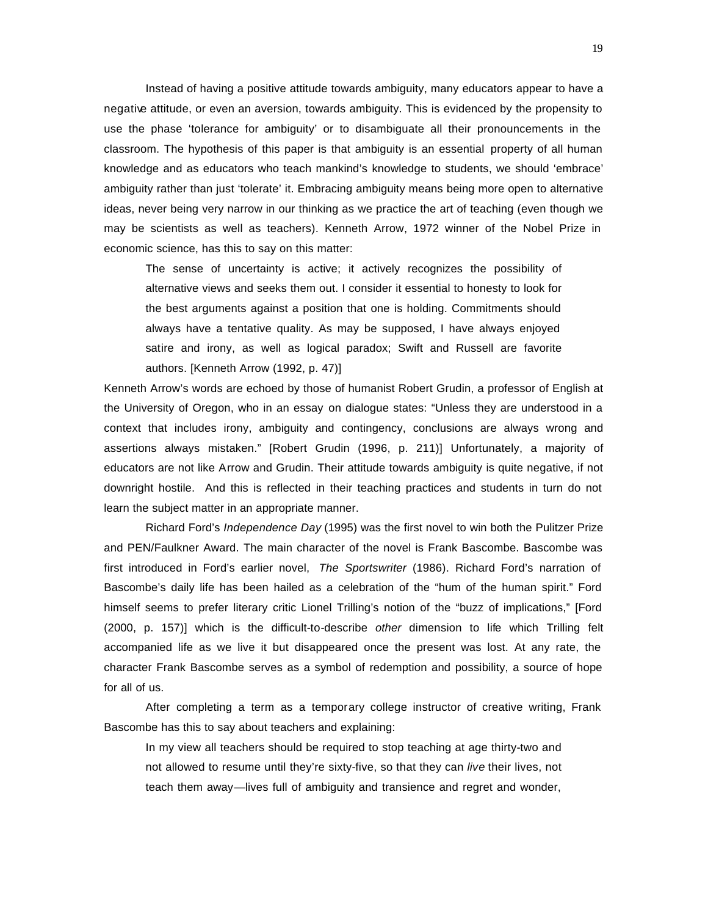Instead of having a positive attitude towards ambiguity, many educators appear to have a negative attitude, or even an aversion, towards ambiguity. This is evidenced by the propensity to use the phase 'tolerance for ambiguity' or to disambiguate all their pronouncements in the classroom. The hypothesis of this paper is that ambiguity is an essential property of all human knowledge and as educators who teach mankind's knowledge to students, we should 'embrace' ambiguity rather than just 'tolerate' it. Embracing ambiguity means being more open to alternative ideas, never being very narrow in our thinking as we practice the art of teaching (even though we may be scientists as well as teachers). Kenneth Arrow, 1972 winner of the Nobel Prize in economic science, has this to say on this matter:

The sense of uncertainty is active; it actively recognizes the possibility of alternative views and seeks them out. I consider it essential to honesty to look for the best arguments against a position that one is holding. Commitments should always have a tentative quality. As may be supposed, I have always enjoyed satire and irony, as well as logical paradox; Swift and Russell are favorite authors. [Kenneth Arrow (1992, p. 47)]

Kenneth Arrow's words are echoed by those of humanist Robert Grudin, a professor of English at the University of Oregon, who in an essay on dialogue states: "Unless they are understood in a context that includes irony, ambiguity and contingency, conclusions are always wrong and assertions always mistaken." [Robert Grudin (1996, p. 211)] Unfortunately, a majority of educators are not like Arrow and Grudin. Their attitude towards ambiguity is quite negative, if not downright hostile. And this is reflected in their teaching practices and students in turn do not learn the subject matter in an appropriate manner.

Richard Ford's *Independence Day* (1995) was the first novel to win both the Pulitzer Prize and PEN/Faulkner Award. The main character of the novel is Frank Bascombe. Bascombe was first introduced in Ford's earlier novel, *The Sportswriter* (1986). Richard Ford's narration of Bascombe's daily life has been hailed as a celebration of the "hum of the human spirit." Ford himself seems to prefer literary critic Lionel Trilling's notion of the "buzz of implications," [Ford (2000, p. 157)] which is the difficult-to-describe *other* dimension to life which Trilling felt accompanied life as we live it but disappeared once the present was lost. At any rate, the character Frank Bascombe serves as a symbol of redemption and possibility, a source of hope for all of us.

After completing a term as a temporary college instructor of creative writing, Frank Bascombe has this to say about teachers and explaining:

In my view all teachers should be required to stop teaching at age thirty-two and not allowed to resume until they're sixty-five, so that they can *live* their lives, not teach them away—lives full of ambiguity and transience and regret and wonder,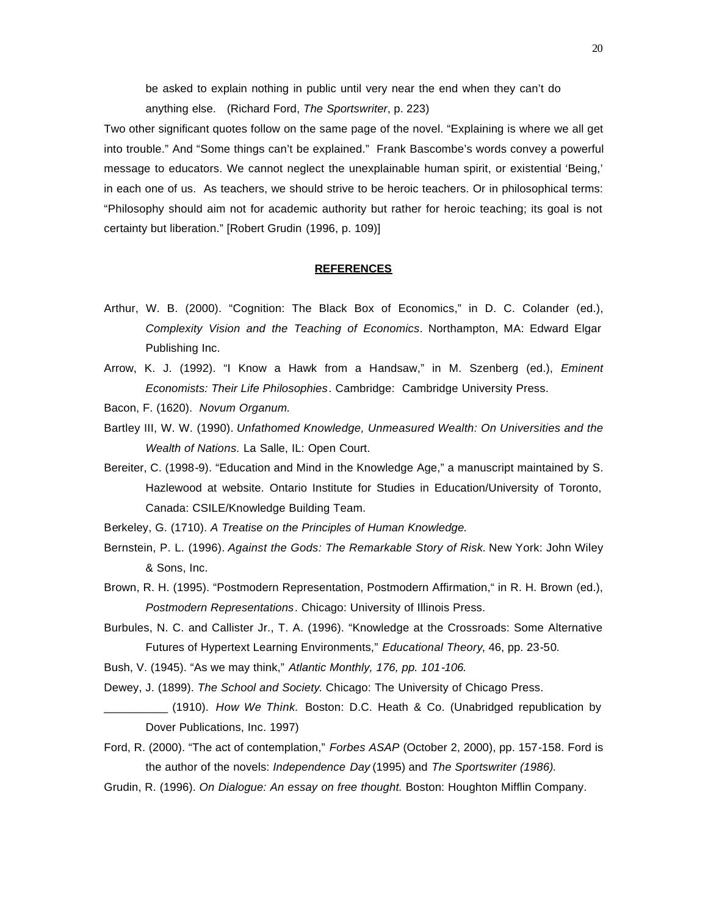be asked to explain nothing in public until very near the end when they can't do anything else. (Richard Ford, *The Sportswriter*, p. 223)

Two other significant quotes follow on the same page of the novel. "Explaining is where we all get into trouble." And "Some things can't be explained." Frank Bascombe's words convey a powerful message to educators. We cannot neglect the unexplainable human spirit, or existential 'Being,' in each one of us. As teachers, we should strive to be heroic teachers. Or in philosophical terms: "Philosophy should aim not for academic authority but rather for heroic teaching; its goal is not certainty but liberation." [Robert Grudin (1996, p. 109)]

#### **REFERENCES**

- Arthur, W. B. (2000). "Cognition: The Black Box of Economics," in D. C. Colander (ed.), *Complexity Vision and the Teaching of Economics*. Northampton, MA: Edward Elgar Publishing Inc.
- Arrow, K. J. (1992). "I Know a Hawk from a Handsaw," in M. Szenberg (ed.), *Eminent Economists: Their Life Philosophies*. Cambridge: Cambridge University Press.
- Bacon, F. (1620). *Novum Organum.*
- Bartley III, W. W. (1990). *Unfathomed Knowledge, Unmeasured Wealth: On Universities and the Wealth of Nations.* La Salle, IL: Open Court.
- Bereiter, C. (1998-9). "Education and Mind in the Knowledge Age," a manuscript maintained by S. Hazlewood at website. Ontario Institute for Studies in Education/University of Toronto, Canada: CSILE/Knowledge Building Team.
- Berkeley, G. (1710). *A Treatise on the Principles of Human Knowledge.*
- Bernstein, P. L. (1996). *Against the Gods: The Remarkable Story of Risk.* New York: John Wiley & Sons, Inc.
- Brown, R. H. (1995). "Postmodern Representation, Postmodern Affirmation," in R. H. Brown (ed.), *Postmodern Representations*. Chicago: University of Illinois Press.
- Burbules, N. C. and Callister Jr., T. A. (1996). "Knowledge at the Crossroads: Some Alternative Futures of Hypertext Learning Environments," *Educational Theory*, 46, pp. 23-50.
- Bush, V. (1945). "As we may think," *Atlantic Monthly, 176, pp. 101-106.*
- Dewey, J. (1899). *The School and Society*. Chicago: The University of Chicago Press.
- \_\_\_\_\_\_\_\_\_\_ (1910). *How We Think.* Boston: D.C. Heath & Co. (Unabridged republication by Dover Publications, Inc. 1997)
- Ford, R. (2000). "The act of contemplation," *Forbes ASAP* (October 2, 2000), pp. 157-158. Ford is the author of the novels: *Independence Day* (1995) and *The Sportswriter (1986).*
- Grudin, R. (1996). *On Dialogue: An essay on free thought.* Boston: Houghton Mifflin Company.